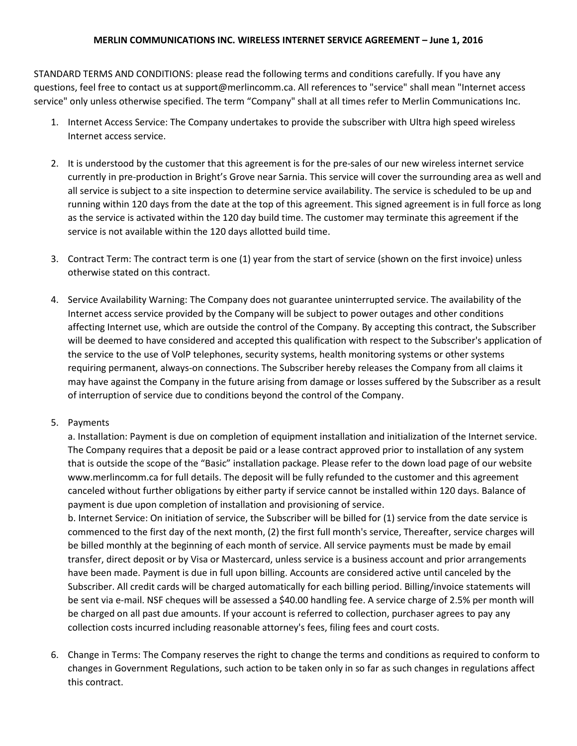## **MERLIN COMMUNICATIONS INC. WIRELESS INTERNET SERVICE AGREEMENT – June 1, 2016**

STANDARD TERMS AND CONDITIONS: please read the following terms and conditions carefully. If you have any questions, feel free to contact us at support@merlincomm.ca. All references to "service" shall mean "Internet access service" only unless otherwise specified. The term "Company" shall at all times refer to Merlin Communications Inc.

- 1. Internet Access Service: The Company undertakes to provide the subscriber with Ultra high speed wireless Internet access service.
- 2. It is understood by the customer that this agreement is for the pre-sales of our new wireless internet service currently in pre-production in Bright's Grove near Sarnia. This service will cover the surrounding area as well and all service is subject to a site inspection to determine service availability. The service is scheduled to be up and running within 120 days from the date at the top of this agreement. This signed agreement is in full force as long as the service is activated within the 120 day build time. The customer may terminate this agreement if the service is not available within the 120 days allotted build time.
- 3. Contract Term: The contract term is one (1) year from the start of service (shown on the first invoice) unless otherwise stated on this contract.
- 4. Service Availability Warning: The Company does not guarantee uninterrupted service. The availability of the Internet access service provided by the Company will be subject to power outages and other conditions affecting Internet use, which are outside the control of the Company. By accepting this contract, the Subscriber will be deemed to have considered and accepted this qualification with respect to the Subscriber's application of the service to the use of VolP telephones, security systems, health monitoring systems or other systems requiring permanent, always-on connections. The Subscriber hereby releases the Company from all claims it may have against the Company in the future arising from damage or losses suffered by the Subscriber as a result of interruption of service due to conditions beyond the control of the Company.
- 5. Payments

a. Installation: Payment is due on completion of equipment installation and initialization of the Internet service. The Company requires that a deposit be paid or a lease contract approved prior to installation of any system that is outside the scope of the "Basic" installation package. Please refer to the down load page of our website www.merlincomm.ca for full details. The deposit will be fully refunded to the customer and this agreement canceled without further obligations by either party if service cannot be installed within 120 days. Balance of payment is due upon completion of installation and provisioning of service.

b. Internet Service: On initiation of service, the Subscriber will be billed for (1) service from the date service is commenced to the first day of the next month, (2) the first full month's service, Thereafter, service charges will be billed monthly at the beginning of each month of service. All service payments must be made by email transfer, direct deposit or by Visa or Mastercard, unless service is a business account and prior arrangements have been made. Payment is due in full upon billing. Accounts are considered active until canceled by the Subscriber. All credit cards will be charged automatically for each billing period. Billing/invoice statements will be sent via e-mail. NSF cheques will be assessed a \$40.00 handling fee. A service charge of 2.5% per month will be charged on all past due amounts. If your account is referred to collection, purchaser agrees to pay any collection costs incurred including reasonable attorney's fees, filing fees and court costs.

6. Change in Terms: The Company reserves the right to change the terms and conditions as required to conform to changes in Government Regulations, such action to be taken only in so far as such changes in regulations affect this contract.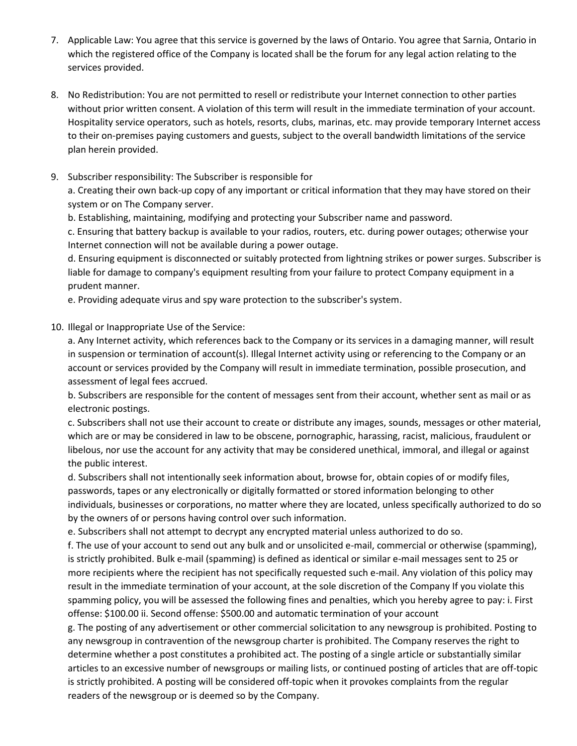- 7. Applicable Law: You agree that this service is governed by the laws of Ontario. You agree that Sarnia, Ontario in which the registered office of the Company is located shall be the forum for any legal action relating to the services provided.
- 8. No Redistribution: You are not permitted to resell or redistribute your Internet connection to other parties without prior written consent. A violation of this term will result in the immediate termination of your account. Hospitality service operators, such as hotels, resorts, clubs, marinas, etc. may provide temporary Internet access to their on-premises paying customers and guests, subject to the overall bandwidth limitations of the service plan herein provided.
- 9. Subscriber responsibility: The Subscriber is responsible for

a. Creating their own back-up copy of any important or critical information that they may have stored on their system or on The Company server.

b. Establishing, maintaining, modifying and protecting your Subscriber name and password.

c. Ensuring that battery backup is available to your radios, routers, etc. during power outages; otherwise your Internet connection will not be available during a power outage.

d. Ensuring equipment is disconnected or suitably protected from lightning strikes or power surges. Subscriber is liable for damage to company's equipment resulting from your failure to protect Company equipment in a prudent manner.

e. Providing adequate virus and spy ware protection to the subscriber's system.

10. Illegal or Inappropriate Use of the Service:

a. Any Internet activity, which references back to the Company or its services in a damaging manner, will result in suspension or termination of account(s). Illegal Internet activity using or referencing to the Company or an account or services provided by the Company will result in immediate termination, possible prosecution, and assessment of legal fees accrued.

b. Subscribers are responsible for the content of messages sent from their account, whether sent as mail or as electronic postings.

c. Subscribers shall not use their account to create or distribute any images, sounds, messages or other material, which are or may be considered in law to be obscene, pornographic, harassing, racist, malicious, fraudulent or libelous, nor use the account for any activity that may be considered unethical, immoral, and illegal or against the public interest.

d. Subscribers shall not intentionally seek information about, browse for, obtain copies of or modify files, passwords, tapes or any electronically or digitally formatted or stored information belonging to other individuals, businesses or corporations, no matter where they are located, unless specifically authorized to do so by the owners of or persons having control over such information.

e. Subscribers shall not attempt to decrypt any encrypted material unless authorized to do so.

f. The use of your account to send out any bulk and or unsolicited e-mail, commercial or otherwise (spamming), is strictly prohibited. Bulk e-mail (spamming) is defined as identical or similar e-mail messages sent to 25 or more recipients where the recipient has not specifically requested such e-mail. Any violation of this policy may result in the immediate termination of your account, at the sole discretion of the Company If you violate this spamming policy, you will be assessed the following fines and penalties, which you hereby agree to pay: i. First offense: \$100.00 ii. Second offense: \$500.00 and automatic termination of your account

g. The posting of any advertisement or other commercial solicitation to any newsgroup is prohibited. Posting to any newsgroup in contravention of the newsgroup charter is prohibited. The Company reserves the right to determine whether a post constitutes a prohibited act. The posting of a single article or substantially similar articles to an excessive number of newsgroups or mailing lists, or continued posting of articles that are off-topic is strictly prohibited. A posting will be considered off-topic when it provokes complaints from the regular readers of the newsgroup or is deemed so by the Company.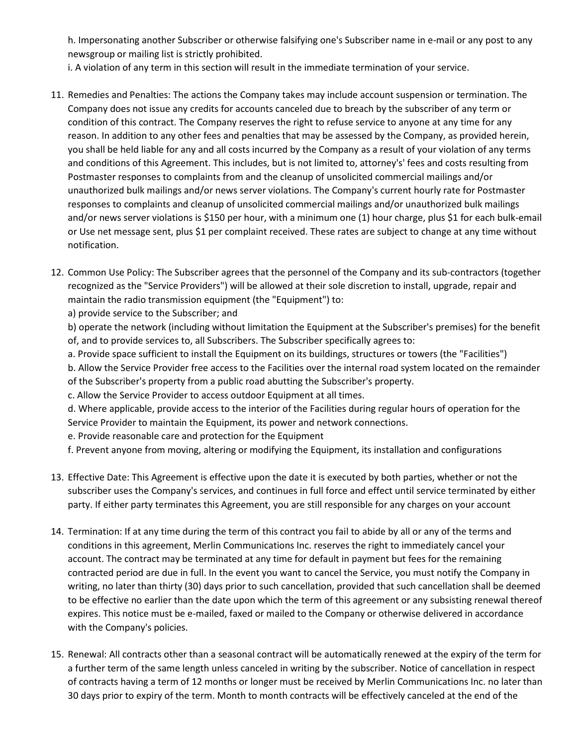h. Impersonating another Subscriber or otherwise falsifying one's Subscriber name in e-mail or any post to any newsgroup or mailing list is strictly prohibited.

i. A violation of any term in this section will result in the immediate termination of your service.

- 11. Remedies and Penalties: The actions the Company takes may include account suspension or termination. The Company does not issue any credits for accounts canceled due to breach by the subscriber of any term or condition of this contract. The Company reserves the right to refuse service to anyone at any time for any reason. In addition to any other fees and penalties that may be assessed by the Company, as provided herein, you shall be held liable for any and all costs incurred by the Company as a result of your violation of any terms and conditions of this Agreement. This includes, but is not limited to, attorney's' fees and costs resulting from Postmaster responses to complaints from and the cleanup of unsolicited commercial mailings and/or unauthorized bulk mailings and/or news server violations. The Company's current hourly rate for Postmaster responses to complaints and cleanup of unsolicited commercial mailings and/or unauthorized bulk mailings and/or news server violations is \$150 per hour, with a minimum one (1) hour charge, plus \$1 for each bulk-email or Use net message sent, plus \$1 per complaint received. These rates are subject to change at any time without notification.
- 12. Common Use Policy: The Subscriber agrees that the personnel of the Company and its sub-contractors (together recognized as the "Service Providers") will be allowed at their sole discretion to install, upgrade, repair and maintain the radio transmission equipment (the "Equipment") to:

a) provide service to the Subscriber; and

b) operate the network (including without limitation the Equipment at the Subscriber's premises) for the benefit of, and to provide services to, all Subscribers. The Subscriber specifically agrees to:

a. Provide space sufficient to install the Equipment on its buildings, structures or towers (the "Facilities")

b. Allow the Service Provider free access to the Facilities over the internal road system located on the remainder of the Subscriber's property from a public road abutting the Subscriber's property.

c. Allow the Service Provider to access outdoor Equipment at all times.

d. Where applicable, provide access to the interior of the Facilities during regular hours of operation for the Service Provider to maintain the Equipment, its power and network connections.

e. Provide reasonable care and protection for the Equipment

f. Prevent anyone from moving, altering or modifying the Equipment, its installation and configurations

- 13. Effective Date: This Agreement is effective upon the date it is executed by both parties, whether or not the subscriber uses the Company's services, and continues in full force and effect until service terminated by either party. If either party terminates this Agreement, you are still responsible for any charges on your account
- 14. Termination: If at any time during the term of this contract you fail to abide by all or any of the terms and conditions in this agreement, Merlin Communications Inc. reserves the right to immediately cancel your account. The contract may be terminated at any time for default in payment but fees for the remaining contracted period are due in full. In the event you want to cancel the Service, you must notify the Company in writing, no later than thirty (30) days prior to such cancellation, provided that such cancellation shall be deemed to be effective no earlier than the date upon which the term of this agreement or any subsisting renewal thereof expires. This notice must be e-mailed, faxed or mailed to the Company or otherwise delivered in accordance with the Company's policies.
- 15. Renewal: All contracts other than a seasonal contract will be automatically renewed at the expiry of the term for a further term of the same length unless canceled in writing by the subscriber. Notice of cancellation in respect of contracts having a term of 12 months or longer must be received by Merlin Communications Inc. no later than 30 days prior to expiry of the term. Month to month contracts will be effectively canceled at the end of the